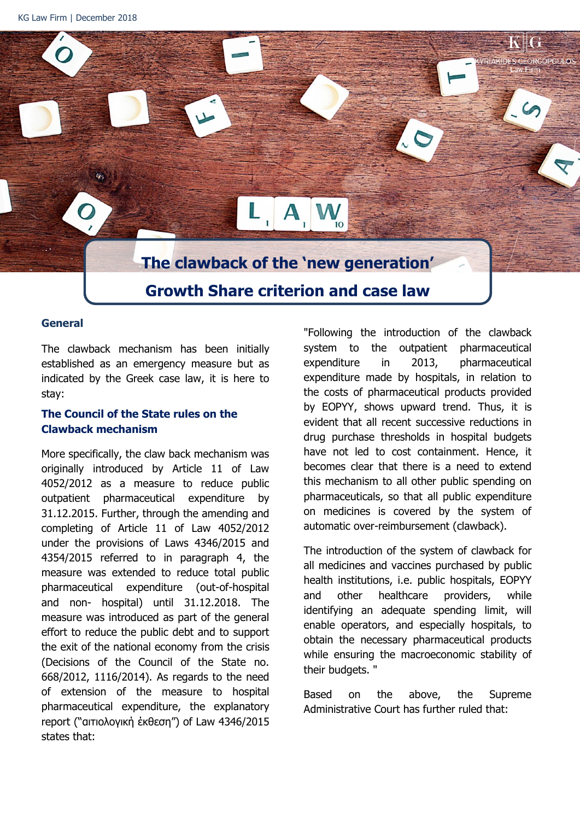Ÿ,

# **The clawback of the 'new generation' Growth Share criterion and case law**

A

#### **General**

The clawback mechanism has been initially established as an emergency measure but as indicated by the Greek case law, it is here to stay:

#### **The Council of the State rules on the Clawback mechanism**

More specifically, the claw back mechanism was originally introduced by Article 11 of Law 4052/2012 as a measure to reduce public outpatient pharmaceutical expenditure by 31.12.2015. Further, through the amending and completing of Article 11 of Law 4052/2012 under the provisions of Laws 4346/2015 and 4354/2015 referred to in paragraph 4, the measure was extended to reduce total public pharmaceutical expenditure (out-of-hospital and non- hospital) until 31.12.2018. The measure was introduced as part of the general effort to reduce the public debt and to support the exit of the national economy from the crisis (Decisions of the Council of the State no. 668/2012, 1116/2014). As regards to the need of extension of the measure to hospital pharmaceutical expenditure, the explanatory report ("αιτιολογική έκθεση") of Law 4346/2015 states that:

"Following the introduction of the clawback system to the outpatient pharmaceutical expenditure in 2013, pharmaceutical expenditure made by hospitals, in relation to the costs of pharmaceutical products provided by EOPYY, shows upward trend. Thus, it is evident that all recent successive reductions in drug purchase thresholds in hospital budgets have not led to cost containment. Hence, it becomes clear that there is a need to extend this mechanism to all other public spending on pharmaceuticals, so that all public expenditure on medicines is covered by the system of automatic over-reimbursement (clawback).

The introduction of the system of clawback for all medicines and vaccines purchased by public health institutions, i.e. public hospitals, EOPYY and other healthcare providers, while identifying an adequate spending limit, will enable operators, and especially hospitals, to obtain the necessary pharmaceutical products while ensuring the macroeconomic stability of their budgets. "

Based on the above, the Supreme Administrative Court has further ruled that: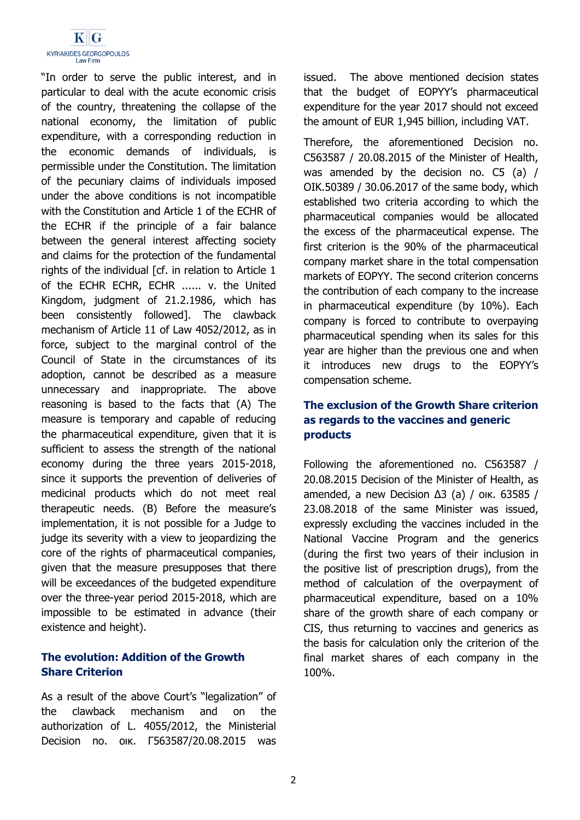

"In order to serve the public interest, and in particular to deal with the acute economic crisis of the country, threatening the collapse of the national economy, the limitation of public expenditure, with a corresponding reduction in the economic demands of individuals, is permissible under the Constitution. The limitation of the pecuniary claims of individuals imposed under the above conditions is not incompatible with the Constitution and Article 1 of the ECHR of the ECHR if the principle of a fair balance between the general interest affecting society and claims for the protection of the fundamental rights of the individual [cf. in relation to Article 1 of the ECHR ECHR, ECHR ...... v. the United Kingdom, judgment of 21.2.1986, which has been consistently followed]. The clawback mechanism of Article 11 of Law 4052/2012, as in force, subject to the marginal control of the Council of State in the circumstances of its adoption, cannot be described as a measure unnecessary and inappropriate. The above reasoning is based to the facts that (A) The measure is temporary and capable of reducing the pharmaceutical expenditure, given that it is sufficient to assess the strength of the national economy during the three years 2015-2018, since it supports the prevention of deliveries of medicinal products which do not meet real therapeutic needs. (B) Before the measure's implementation, it is not possible for a Judge to judge its severity with a view to jeopardizing the core of the rights of pharmaceutical companies, given that the measure presupposes that there will be exceedances of the budgeted expenditure over the three-year period 2015-2018, which are impossible to be estimated in advance (their existence and height).

### **The evolution: Addition of the Growth Share Criterion**

As a result of the above Court's "legalization" of the clawback mechanism and on the authorization of L. 4055/2012, the Ministerial Decision no. οικ. Γ563587/20.08.2015 was issued. The above mentioned decision states that the budget of EOPYY's pharmaceutical expenditure for the year 2017 should not exceed the amount of EUR 1,945 billion, including VAT.

Therefore, the aforementioned Decision no. C563587 / 20.08.2015 of the Minister of Health, was amended by the decision no. C5 (a) / OIK.50389 / 30.06.2017 of the same body, which established two criteria according to which the pharmaceutical companies would be allocated the excess of the pharmaceutical expense. The first criterion is the 90% of the pharmaceutical company market share in the total compensation markets of EOPYY. The second criterion concerns the contribution of each company to the increase in pharmaceutical expenditure (by 10%). Each company is forced to contribute to overpaying pharmaceutical spending when its sales for this year are higher than the previous one and when it introduces new drugs to the EOPYY's compensation scheme.

# **The exclusion of the Growth Share criterion as regards to the vaccines and generic products**

Following the aforementioned no. C563587 / 20.08.2015 Decision of the Minister of Health, as amended, a new Decision Δ3 (a) / οικ. 63585 / 23.08.2018 of the same Minister was issued, expressly excluding the vaccines included in the National Vaccine Program and the generics (during the first two years of their inclusion in the positive list of prescription drugs), from the method of calculation of the overpayment of pharmaceutical expenditure, based on a 10% share of the growth share of each company or CIS, thus returning to vaccines and generics as the basis for calculation only the criterion of the final market shares of each company in the 100%.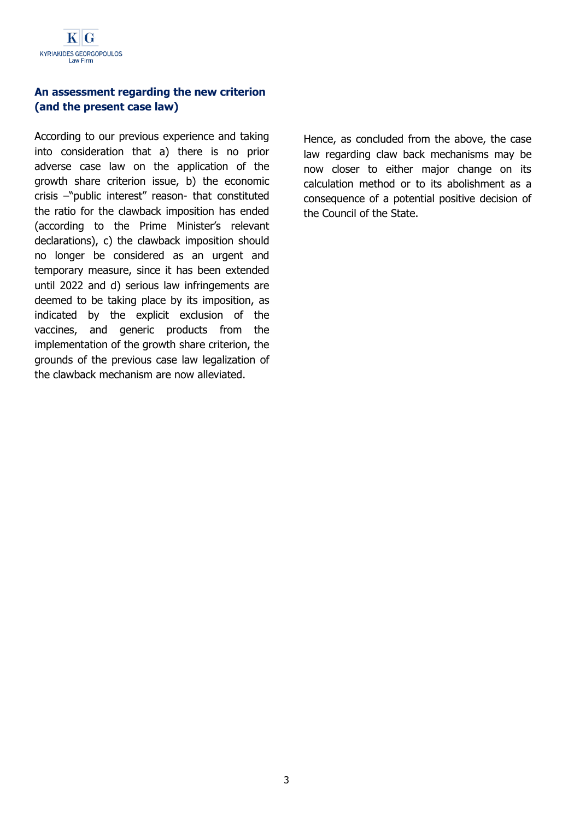# **An assessment regarding the new criterion (and the present case law)**

According to our previous experience and taking into consideration that a) there is no prior adverse case law on the application of the growth share criterion issue, b) the economic crisis –"public interest" reason- that constituted the ratio for the clawback imposition has ended (according to the Prime Minister's relevant declarations), c) the clawback imposition should no longer be considered as an urgent and temporary measure, since it has been extended until 2022 and d) serious law infringements are deemed to be taking place by its imposition, as indicated by the explicit exclusion of the vaccines, and generic products from the implementation of the growth share criterion, the grounds of the previous case law legalization of the clawback mechanism are now alleviated.

Hence, as concluded from the above, the case law regarding claw back mechanisms may be now closer to either major change on its calculation method or to its abolishment as a consequence of a potential positive decision of the Council of the State.